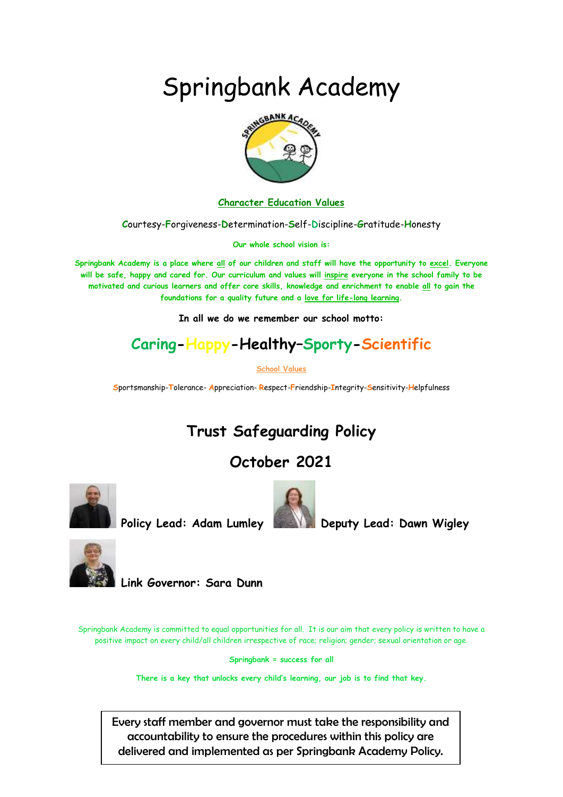# Springbank Academy



**Character Education Values**

**C**ourtesy-**F**orgiveness-**D**etermination-**S**elf-**D**iscipline-**G**ratitude-**H**onesty

**Our whole school vision is:**

**Springbank Academy is a place where all of our children and staff will have the opportunity to excel. Everyone will be safe, happy and cared for. Our curriculum and values will inspire everyone in the school family to be motivated and curious learners and offer core skills, knowledge and enrichment to enable all to gain the foundations for a quality future and a love for life-long learning.**

**In all we do we remember our school motto:**

# **Caring-Happy-Healthy–Sporty-Scientific**

**School Values**

**S**portsmanship-**T**olerance- **A**ppreciation- **R**espect-**F**riendship-**I**ntegrity-**S**ensitivity-**H**elpfulness

# **Trust Safeguarding Policy**

# **October 2021**



**Policy Lead: Adam Lumley Deputy Lead: Dawn Wigley** 





**Link Governor: Sara Dunn** 

Springbank Academy is committed to equal opportunities for all. It is our aim that every policy is written to have a positive impact on every child/all children irrespective of race; religion; gender; sexual orientation or age.

**Springbank = success for all**

**There is a key that unlocks every child's learning, our job is to find that key.**

Every staff member and governor must take the responsibility and accountability to ensure the procedures within this policy are delivered and implemented as per Springbank Academy Policy.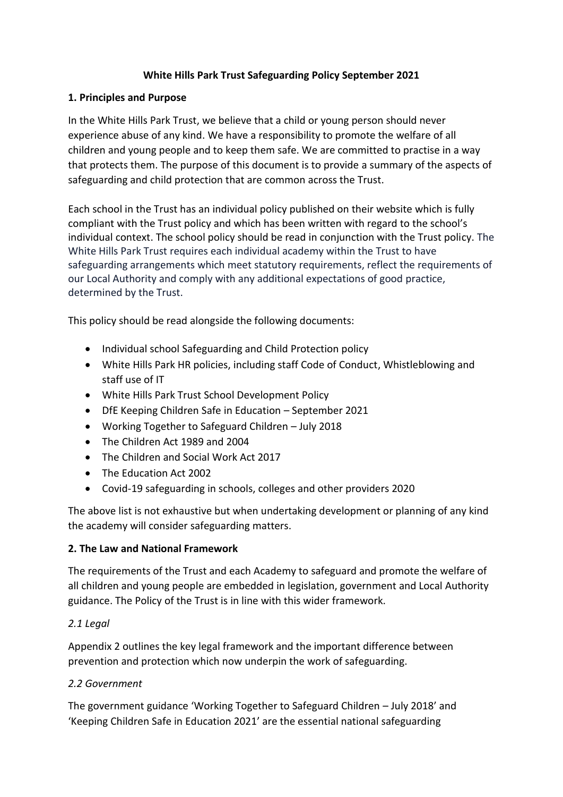#### **White Hills Park Trust Safeguarding Policy September 2021**

#### **1. Principles and Purpose**

In the White Hills Park Trust, we believe that a child or young person should never experience abuse of any kind. We have a responsibility to promote the welfare of all children and young people and to keep them safe. We are committed to practise in a way that protects them. The purpose of this document is to provide a summary of the aspects of safeguarding and child protection that are common across the Trust.

Each school in the Trust has an individual policy published on their website which is fully compliant with the Trust policy and which has been written with regard to the school's individual context. The school policy should be read in conjunction with the Trust policy. The White Hills Park Trust requires each individual academy within the Trust to have safeguarding arrangements which meet statutory requirements, reflect the requirements of our Local Authority and comply with any additional expectations of good practice, determined by the Trust.

This policy should be read alongside the following documents:

- Individual school Safeguarding and Child Protection policy
- White Hills Park HR policies, including staff Code of Conduct, Whistleblowing and staff use of IT
- White Hills Park Trust School Development Policy
- DfE Keeping Children Safe in Education September 2021
- Working Together to Safeguard Children July 2018
- The Children Act 1989 and 2004
- The Children and Social Work Act 2017
- The Education Act 2002
- Covid-19 safeguarding in schools, colleges and other providers 2020

The above list is not exhaustive but when undertaking development or planning of any kind the academy will consider safeguarding matters.

#### **2. The Law and National Framework**

The requirements of the Trust and each Academy to safeguard and promote the welfare of all children and young people are embedded in legislation, government and Local Authority guidance. The Policy of the Trust is in line with this wider framework.

#### *2.1 Legal*

Appendix 2 outlines the key legal framework and the important difference between prevention and protection which now underpin the work of safeguarding.

#### *2.2 Government*

The government guidance 'Working Together to Safeguard Children – July 2018' and 'Keeping Children Safe in Education 2021' are the essential national safeguarding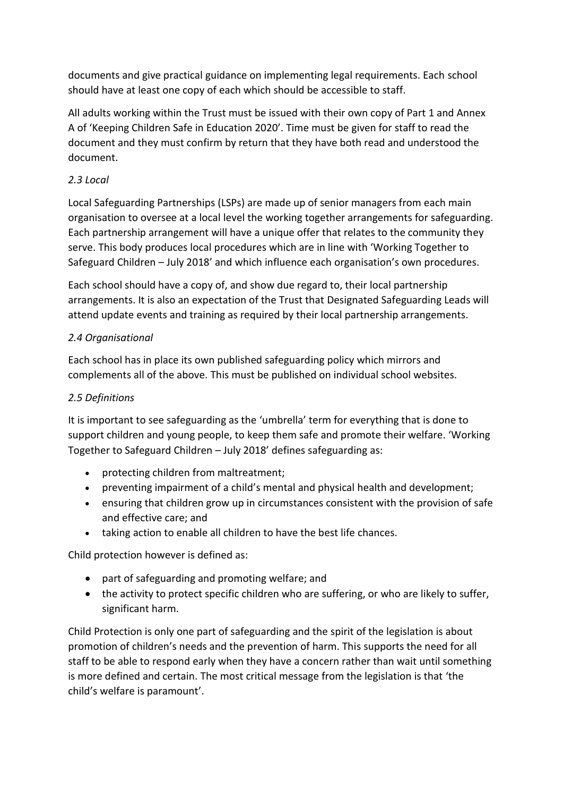documents and give practical guidance on implementing legal requirements. Each school should have at least one copy of each which should be accessible to staff.

All adults working within the Trust must be issued with their own copy of Part 1 and Annex A of 'Keeping Children Safe in Education 2020'. Time must be given for staff to read the document and they must confirm by return that they have both read and understood the document.

# *2.3 Local*

Local Safeguarding Partnerships (LSPs) are made up of senior managers from each main organisation to oversee at a local level the working together arrangements for safeguarding. Each partnership arrangement will have a unique offer that relates to the community they serve. This body produces local procedures which are in line with 'Working Together to Safeguard Children – July 2018' and which influence each organisation's own procedures.

Each school should have a copy of, and show due regard to, their local partnership arrangements. It is also an expectation of the Trust that Designated Safeguarding Leads will attend update events and training as required by their local partnership arrangements.

# *2.4 Organisational*

Each school has in place its own published safeguarding policy which mirrors and complements all of the above. This must be published on individual school websites.

# *2.5 Definitions*

It is important to see safeguarding as the 'umbrella' term for everything that is done to support children and young people, to keep them safe and promote their welfare. 'Working Together to Safeguard Children – July 2018' defines safeguarding as:

- protecting children from maltreatment;
- preventing impairment of a child's mental and physical health and development;
- ensuring that children grow up in circumstances consistent with the provision of safe and effective care; and
- taking action to enable all children to have the best life chances.

Child protection however is defined as:

- part of safeguarding and promoting welfare; and
- the activity to protect specific children who are suffering, or who are likely to suffer, significant harm.

Child Protection is only one part of safeguarding and the spirit of the legislation is about promotion of children's needs and the prevention of harm. This supports the need for all staff to be able to respond early when they have a concern rather than wait until something is more defined and certain. The most critical message from the legislation is that 'the child's welfare is paramount'.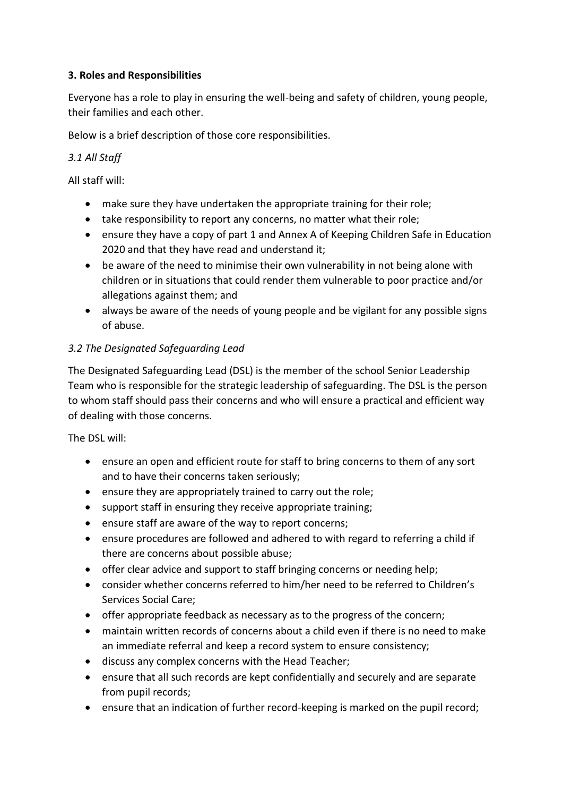#### **3. Roles and Responsibilities**

Everyone has a role to play in ensuring the well-being and safety of children, young people, their families and each other.

Below is a brief description of those core responsibilities.

#### *3.1 All Staff*

All staff will:

- make sure they have undertaken the appropriate training for their role;
- take responsibility to report any concerns, no matter what their role;
- ensure they have a copy of part 1 and Annex A of Keeping Children Safe in Education 2020 and that they have read and understand it;
- be aware of the need to minimise their own vulnerability in not being alone with children or in situations that could render them vulnerable to poor practice and/or allegations against them; and
- always be aware of the needs of young people and be vigilant for any possible signs of abuse.

#### *3.2 The Designated Safeguarding Lead*

The Designated Safeguarding Lead (DSL) is the member of the school Senior Leadership Team who is responsible for the strategic leadership of safeguarding. The DSL is the person to whom staff should pass their concerns and who will ensure a practical and efficient way of dealing with those concerns.

The DSL will:

- ensure an open and efficient route for staff to bring concerns to them of any sort and to have their concerns taken seriously;
- ensure they are appropriately trained to carry out the role;
- support staff in ensuring they receive appropriate training;
- ensure staff are aware of the way to report concerns;
- ensure procedures are followed and adhered to with regard to referring a child if there are concerns about possible abuse;
- offer clear advice and support to staff bringing concerns or needing help;
- consider whether concerns referred to him/her need to be referred to Children's Services Social Care;
- offer appropriate feedback as necessary as to the progress of the concern;
- maintain written records of concerns about a child even if there is no need to make an immediate referral and keep a record system to ensure consistency;
- discuss any complex concerns with the Head Teacher;
- ensure that all such records are kept confidentially and securely and are separate from pupil records;
- ensure that an indication of further record-keeping is marked on the pupil record;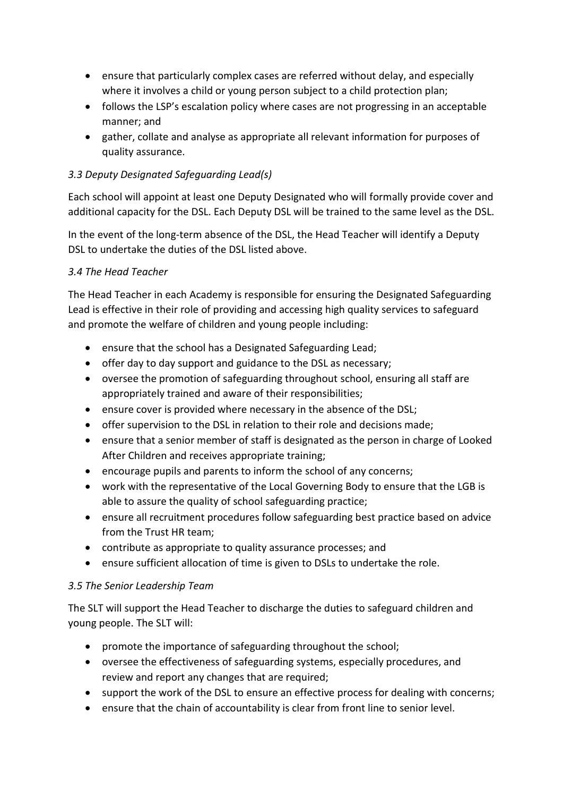- ensure that particularly complex cases are referred without delay, and especially where it involves a child or young person subject to a child protection plan;
- follows the LSP's escalation policy where cases are not progressing in an acceptable manner; and
- gather, collate and analyse as appropriate all relevant information for purposes of quality assurance.

#### *3.3 Deputy Designated Safeguarding Lead(s)*

Each school will appoint at least one Deputy Designated who will formally provide cover and additional capacity for the DSL. Each Deputy DSL will be trained to the same level as the DSL.

In the event of the long-term absence of the DSL, the Head Teacher will identify a Deputy DSL to undertake the duties of the DSL listed above.

#### *3.4 The Head Teacher*

The Head Teacher in each Academy is responsible for ensuring the Designated Safeguarding Lead is effective in their role of providing and accessing high quality services to safeguard and promote the welfare of children and young people including:

- ensure that the school has a Designated Safeguarding Lead;
- offer day to day support and guidance to the DSL as necessary;
- oversee the promotion of safeguarding throughout school, ensuring all staff are appropriately trained and aware of their responsibilities;
- ensure cover is provided where necessary in the absence of the DSL;
- offer supervision to the DSL in relation to their role and decisions made;
- ensure that a senior member of staff is designated as the person in charge of Looked After Children and receives appropriate training;
- encourage pupils and parents to inform the school of any concerns;
- work with the representative of the Local Governing Body to ensure that the LGB is able to assure the quality of school safeguarding practice;
- ensure all recruitment procedures follow safeguarding best practice based on advice from the Trust HR team;
- contribute as appropriate to quality assurance processes; and
- ensure sufficient allocation of time is given to DSLs to undertake the role.

#### *3.5 The Senior Leadership Team*

The SLT will support the Head Teacher to discharge the duties to safeguard children and young people. The SLT will:

- promote the importance of safeguarding throughout the school;
- oversee the effectiveness of safeguarding systems, especially procedures, and review and report any changes that are required;
- support the work of the DSL to ensure an effective process for dealing with concerns;
- ensure that the chain of accountability is clear from front line to senior level.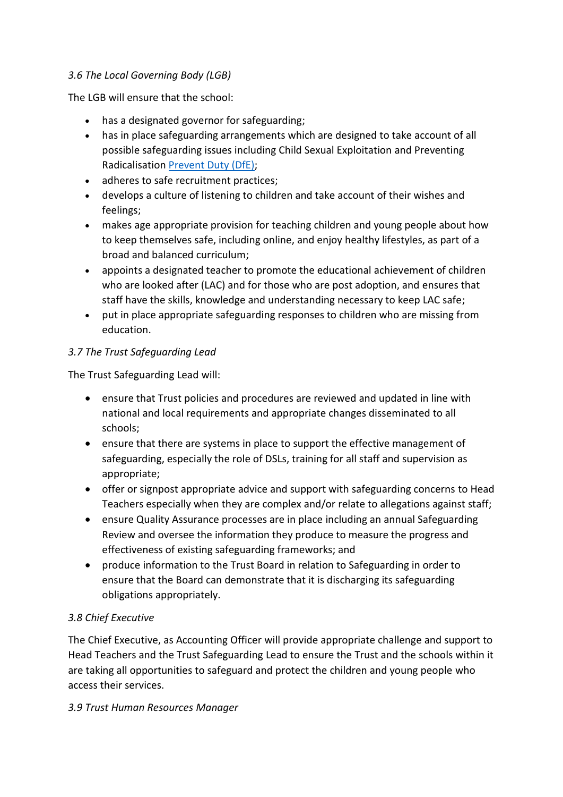#### *3.6 The Local Governing Body (LGB)*

The LGB will ensure that the school:

- has a designated governor for safeguarding;
- has in place safeguarding arrangements which are designed to take account of all possible safeguarding issues including Child Sexual Exploitation and Preventing Radicalisation [Prevent Duty \(DfE\);](https://www.gov.uk/government/publications/prevent-duty-guidance)
- adheres to safe recruitment practices;
- develops a culture of listening to children and take account of their wishes and feelings;
- makes age appropriate provision for teaching children and young people about how to keep themselves safe, including online, and enjoy healthy lifestyles, as part of a broad and balanced curriculum;
- appoints a designated teacher to promote the educational achievement of children who are looked after (LAC) and for those who are post adoption, and ensures that staff have the skills, knowledge and understanding necessary to keep LAC safe;
- put in place appropriate safeguarding responses to children who are missing from education.

#### *3.7 The Trust Safeguarding Lead*

The Trust Safeguarding Lead will:

- ensure that Trust policies and procedures are reviewed and updated in line with national and local requirements and appropriate changes disseminated to all schools;
- ensure that there are systems in place to support the effective management of safeguarding, especially the role of DSLs, training for all staff and supervision as appropriate;
- offer or signpost appropriate advice and support with safeguarding concerns to Head Teachers especially when they are complex and/or relate to allegations against staff;
- ensure Quality Assurance processes are in place including an annual Safeguarding Review and oversee the information they produce to measure the progress and effectiveness of existing safeguarding frameworks; and
- produce information to the Trust Board in relation to Safeguarding in order to ensure that the Board can demonstrate that it is discharging its safeguarding obligations appropriately.

# *3.8 Chief Executive*

The Chief Executive, as Accounting Officer will provide appropriate challenge and support to Head Teachers and the Trust Safeguarding Lead to ensure the Trust and the schools within it are taking all opportunities to safeguard and protect the children and young people who access their services.

#### *3.9 Trust Human Resources Manager*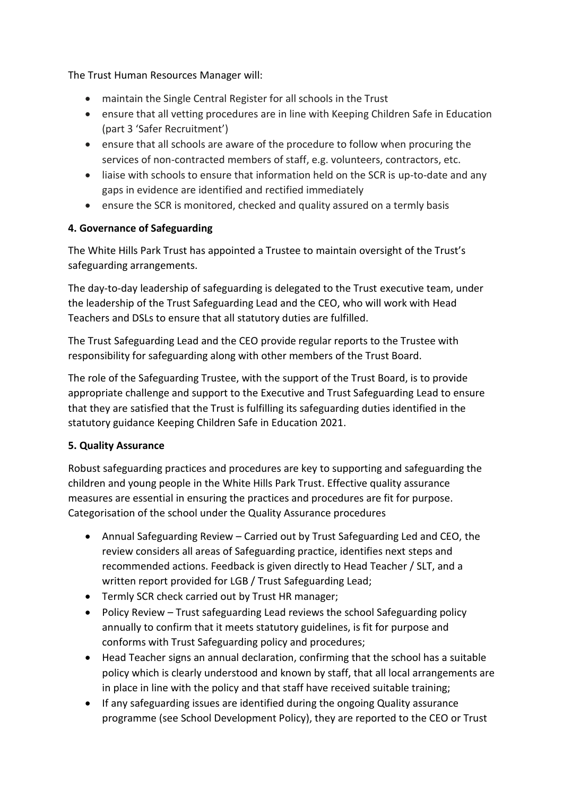The Trust Human Resources Manager will:

- maintain the Single Central Register for all schools in the Trust
- ensure that all vetting procedures are in line with Keeping Children Safe in Education (part 3 'Safer Recruitment')
- ensure that all schools are aware of the procedure to follow when procuring the services of non-contracted members of staff, e.g. volunteers, contractors, etc.
- liaise with schools to ensure that information held on the SCR is up-to-date and any gaps in evidence are identified and rectified immediately
- ensure the SCR is monitored, checked and quality assured on a termly basis

# **4. Governance of Safeguarding**

The White Hills Park Trust has appointed a Trustee to maintain oversight of the Trust's safeguarding arrangements.

The day-to-day leadership of safeguarding is delegated to the Trust executive team, under the leadership of the Trust Safeguarding Lead and the CEO, who will work with Head Teachers and DSLs to ensure that all statutory duties are fulfilled.

The Trust Safeguarding Lead and the CEO provide regular reports to the Trustee with responsibility for safeguarding along with other members of the Trust Board.

The role of the Safeguarding Trustee, with the support of the Trust Board, is to provide appropriate challenge and support to the Executive and Trust Safeguarding Lead to ensure that they are satisfied that the Trust is fulfilling its safeguarding duties identified in the statutory guidance Keeping Children Safe in Education 2021.

# **5. Quality Assurance**

Robust safeguarding practices and procedures are key to supporting and safeguarding the children and young people in the White Hills Park Trust. Effective quality assurance measures are essential in ensuring the practices and procedures are fit for purpose. Categorisation of the school under the Quality Assurance procedures

- Annual Safeguarding Review Carried out by Trust Safeguarding Led and CEO, the review considers all areas of Safeguarding practice, identifies next steps and recommended actions. Feedback is given directly to Head Teacher / SLT, and a written report provided for LGB / Trust Safeguarding Lead;
- Termly SCR check carried out by Trust HR manager;
- Policy Review Trust safeguarding Lead reviews the school Safeguarding policy annually to confirm that it meets statutory guidelines, is fit for purpose and conforms with Trust Safeguarding policy and procedures;
- Head Teacher signs an annual declaration, confirming that the school has a suitable policy which is clearly understood and known by staff, that all local arrangements are in place in line with the policy and that staff have received suitable training;
- If any safeguarding issues are identified during the ongoing Quality assurance programme (see School Development Policy), they are reported to the CEO or Trust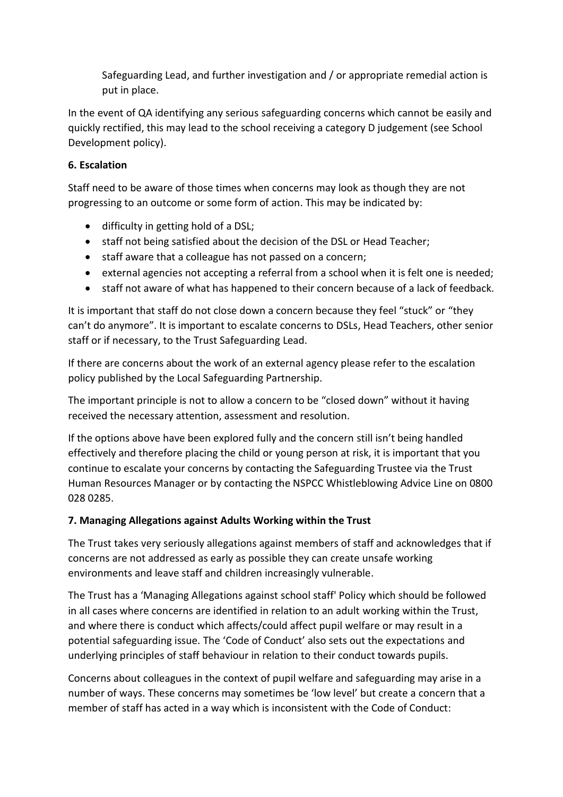Safeguarding Lead, and further investigation and / or appropriate remedial action is put in place.

In the event of QA identifying any serious safeguarding concerns which cannot be easily and quickly rectified, this may lead to the school receiving a category D judgement (see School Development policy).

# **6. Escalation**

Staff need to be aware of those times when concerns may look as though they are not progressing to an outcome or some form of action. This may be indicated by:

- difficulty in getting hold of a DSL;
- staff not being satisfied about the decision of the DSL or Head Teacher;
- staff aware that a colleague has not passed on a concern;
- external agencies not accepting a referral from a school when it is felt one is needed;
- staff not aware of what has happened to their concern because of a lack of feedback.

It is important that staff do not close down a concern because they feel "stuck" or "they can't do anymore". It is important to escalate concerns to DSLs, Head Teachers, other senior staff or if necessary, to the Trust Safeguarding Lead.

If there are concerns about the work of an external agency please refer to the escalation policy published by the Local Safeguarding Partnership.

The important principle is not to allow a concern to be "closed down" without it having received the necessary attention, assessment and resolution.

If the options above have been explored fully and the concern still isn't being handled effectively and therefore placing the child or young person at risk, it is important that you continue to escalate your concerns by contacting the Safeguarding Trustee via the Trust Human Resources Manager or by contacting the NSPCC Whistleblowing Advice Line on 0800 028 0285.

# **7. Managing Allegations against Adults Working within the Trust**

The Trust takes very seriously allegations against members of staff and acknowledges that if concerns are not addressed as early as possible they can create unsafe working environments and leave staff and children increasingly vulnerable.

The Trust has a 'Managing Allegations against school staff' Policy which should be followed in all cases where concerns are identified in relation to an adult working within the Trust, and where there is conduct which affects/could affect pupil welfare or may result in a potential safeguarding issue. The 'Code of Conduct' also sets out the expectations and underlying principles of staff behaviour in relation to their conduct towards pupils.

Concerns about colleagues in the context of pupil welfare and safeguarding may arise in a number of ways. These concerns may sometimes be 'low level' but create a concern that a member of staff has acted in a way which is inconsistent with the Code of Conduct: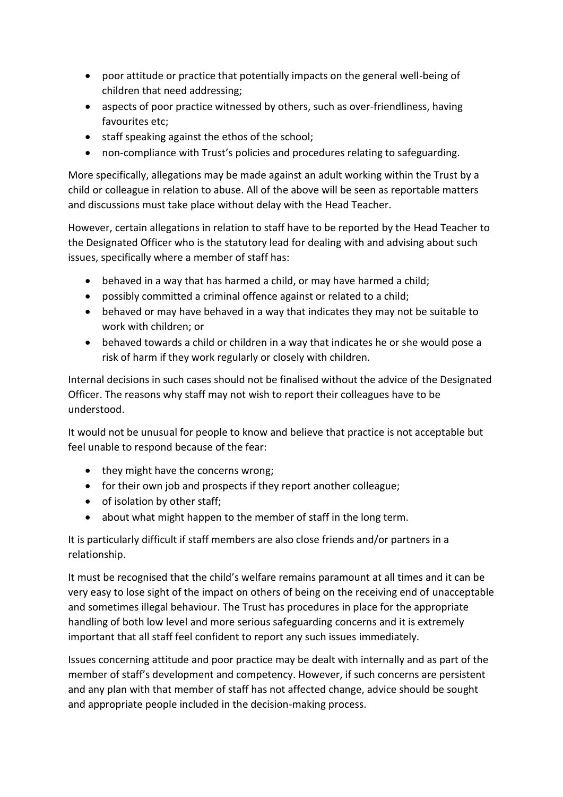- poor attitude or practice that potentially impacts on the general well-being of children that need addressing;
- aspects of poor practice witnessed by others, such as over-friendliness, having favourites etc;
- staff speaking against the ethos of the school;
- non-compliance with Trust's policies and procedures relating to safeguarding.

More specifically, allegations may be made against an adult working within the Trust by a child or colleague in relation to abuse. All of the above will be seen as reportable matters and discussions must take place without delay with the Head Teacher.

However, certain allegations in relation to staff have to be reported by the Head Teacher to the Designated Officer who is the statutory lead for dealing with and advising about such issues, specifically where a member of staff has:

- behaved in a way that has harmed a child, or may have harmed a child;
- possibly committed a criminal offence against or related to a child;
- behaved or may have behaved in a way that indicates they may not be suitable to work with children; or
- behaved towards a child or children in a way that indicates he or she would pose a risk of harm if they work regularly or closely with children.

Internal decisions in such cases should not be finalised without the advice of the Designated Officer. The reasons why staff may not wish to report their colleagues have to be understood.

It would not be unusual for people to know and believe that practice is not acceptable but feel unable to respond because of the fear:

- they might have the concerns wrong;
- for their own job and prospects if they report another colleague;
- of isolation by other staff;
- about what might happen to the member of staff in the long term.

It is particularly difficult if staff members are also close friends and/or partners in a relationship.

It must be recognised that the child's welfare remains paramount at all times and it can be very easy to lose sight of the impact on others of being on the receiving end of unacceptable and sometimes illegal behaviour. The Trust has procedures in place for the appropriate handling of both low level and more serious safeguarding concerns and it is extremely important that all staff feel confident to report any such issues immediately.

Issues concerning attitude and poor practice may be dealt with internally and as part of the member of staff's development and competency. However, if such concerns are persistent and any plan with that member of staff has not affected change, advice should be sought and appropriate people included in the decision-making process.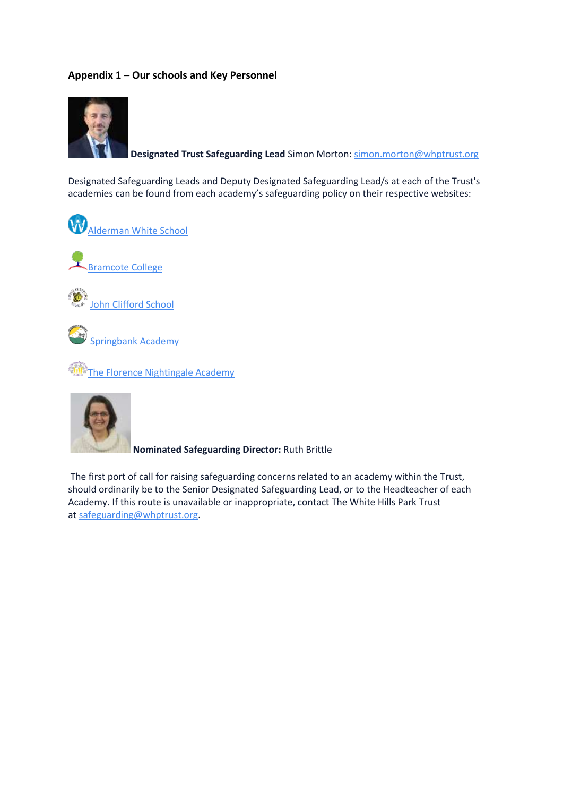#### **Appendix 1 – Our schools and Key Personnel**



**Designated Trust Safeguarding Lead** Simon Morton[: simon.morton@whptrust.org](mailto:simon.morton@whptrust.org)

Designated Safeguarding Leads and Deputy Designated Safeguarding Lead/s at each of the Trust's academies can be found from each academy's safeguarding policy on their respective websites:





**[John Clifford School](https://www.johncliffordschool.com/)** 



[Springbank Academy](https://springbank.academy/)

[The Florence Nightingale Academy](https://theflorence.academy/)



**Nominated Safeguarding Director:** Ruth Brittle

The first port of call for raising safeguarding concerns related to an academy within the Trust, should ordinarily be to the Senior Designated Safeguarding Lead, or to the Headteacher of each Academy. If this route is unavailable or inappropriate, contact The White Hills Park Trust at [safeguarding@whptrust.org.](mailto:safeguarding@whptrust.org)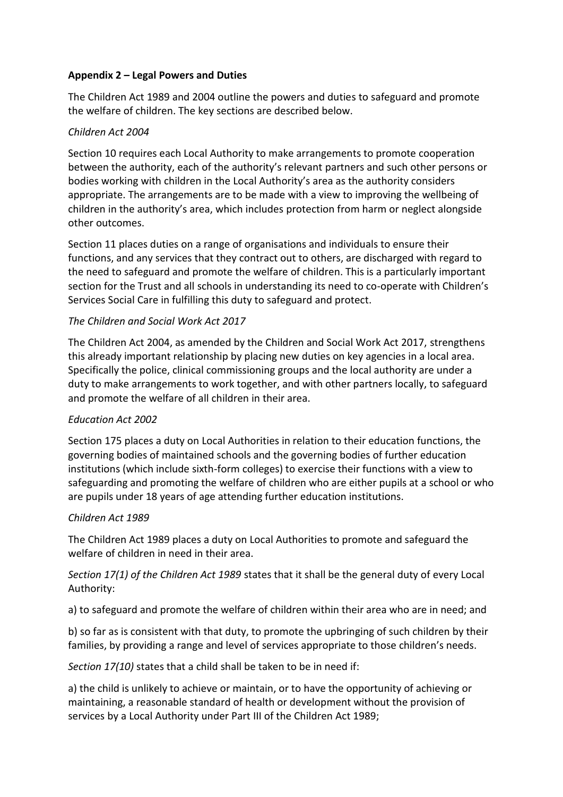#### **Appendix 2 – Legal Powers and Duties**

The Children Act 1989 and 2004 outline the powers and duties to safeguard and promote the welfare of children. The key sections are described below.

#### *Children Act 2004*

Section 10 requires each Local Authority to make arrangements to promote cooperation between the authority, each of the authority's relevant partners and such other persons or bodies working with children in the Local Authority's area as the authority considers appropriate. The arrangements are to be made with a view to improving the wellbeing of children in the authority's area, which includes protection from harm or neglect alongside other outcomes.

Section 11 places duties on a range of organisations and individuals to ensure their functions, and any services that they contract out to others, are discharged with regard to the need to safeguard and promote the welfare of children. This is a particularly important section for the Trust and all schools in understanding its need to co-operate with Children's Services Social Care in fulfilling this duty to safeguard and protect.

#### *The Children and Social Work Act 2017*

The Children Act 2004, as amended by the Children and Social Work Act 2017, strengthens this already important relationship by placing new duties on key agencies in a local area. Specifically the police, clinical commissioning groups and the local authority are under a duty to make arrangements to work together, and with other partners locally, to safeguard and promote the welfare of all children in their area.

#### *Education Act 2002*

Section 175 places a duty on Local Authorities in relation to their education functions, the governing bodies of maintained schools and the governing bodies of further education institutions (which include sixth-form colleges) to exercise their functions with a view to safeguarding and promoting the welfare of children who are either pupils at a school or who are pupils under 18 years of age attending further education institutions.

#### *Children Act 1989*

The Children Act 1989 places a duty on Local Authorities to promote and safeguard the welfare of children in need in their area.

#### *Section 17(1) of the Children Act 1989* states that it shall be the general duty of every Local Authority:

a) to safeguard and promote the welfare of children within their area who are in need; and

b) so far as is consistent with that duty, to promote the upbringing of such children by their families, by providing a range and level of services appropriate to those children's needs.

*Section 17(10)* states that a child shall be taken to be in need if:

a) the child is unlikely to achieve or maintain, or to have the opportunity of achieving or maintaining, a reasonable standard of health or development without the provision of services by a Local Authority under Part III of the Children Act 1989;